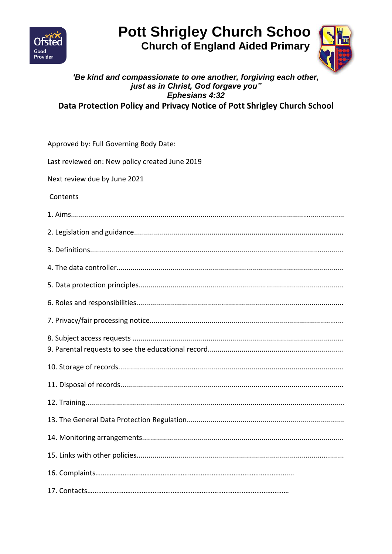

# **Pott Shrigley Church Schoo Church of England Aided Primary**



#### 'Be kind and compassionate to one another, forgiving each other, just as in Christ, God forgave you" Ephesians 4:32 Data Protection Policy and Privacy Notice of Pott Shrigley Church School

| Approved by: Full Governing Body Date:         |
|------------------------------------------------|
| Last reviewed on: New policy created June 2019 |
| Next review due by June 2021                   |
| Contents                                       |
|                                                |
|                                                |
|                                                |
|                                                |
|                                                |
|                                                |
|                                                |
|                                                |
|                                                |
|                                                |
|                                                |
|                                                |
|                                                |
|                                                |
|                                                |
|                                                |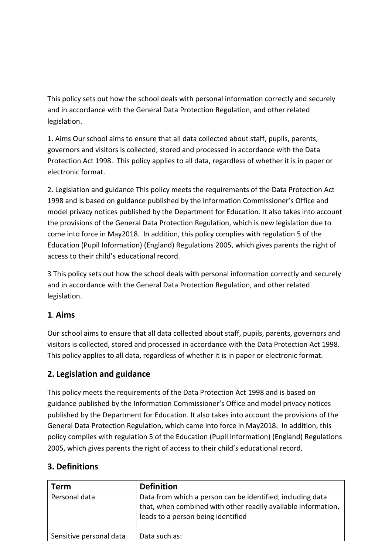This policy sets out how the school deals with personal information correctly and securely and in accordance with the General Data Protection Regulation, and other related legislation.

1. Aims Our school aims to ensure that all data collected about staff, pupils, parents, governors and visitors is collected, stored and processed in accordance with the Data Protection Act 1998. This policy applies to all data, regardless of whether it is in paper or electronic format.

2. Legislation and guidance This policy meets the requirements of the Data Protection Act 1998 and is based on guidance published by the Information Commissioner's Office and model privacy notices published by the Department for Education. It also takes into account the provisions of the General Data Protection Regulation, which is new legislation due to come into force in May2018. In addition, this policy complies with regulation 5 of the Education (Pupil Information) (England) Regulations 2005, which gives parents the right of access to their child's educational record.

3 This policy sets out how the school deals with personal information correctly and securely and in accordance with the General Data Protection Regulation, and other related legislation.

#### **1**. **Aims**

Our school aims to ensure that all data collected about staff, pupils, parents, governors and visitors is collected, stored and processed in accordance with the Data Protection Act 1998. This policy applies to all data, regardless of whether it is in paper or electronic format.

## **2. Legislation and guidance**

This policy meets the requirements of the Data Protection Act 1998 and is based on guidance published by the Information Commissioner's Office and model privacy notices published by the Department for Education. It also takes into account the provisions of the General Data Protection Regulation, which came into force in May2018. In addition, this policy complies with regulation 5 of the Education (Pupil Information) (England) Regulations 2005, which gives parents the right of access to their child's educational record.

#### **3. Definitions**

| <b>Term</b>             | <b>Definition</b>                                                                                                                                                 |
|-------------------------|-------------------------------------------------------------------------------------------------------------------------------------------------------------------|
| Personal data           | Data from which a person can be identified, including data<br>that, when combined with other readily available information,<br>leads to a person being identified |
| Sensitive personal data | Data such as:                                                                                                                                                     |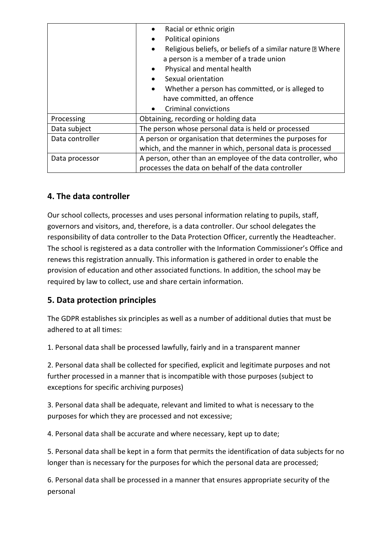|                 | Racial or ethnic origin                                                       |  |  |
|-----------------|-------------------------------------------------------------------------------|--|--|
|                 | Political opinions                                                            |  |  |
|                 | Religious beliefs, or beliefs of a similar nature <b>M</b> Where<br>$\bullet$ |  |  |
|                 | a person is a member of a trade union                                         |  |  |
|                 | Physical and mental health<br>$\bullet$                                       |  |  |
|                 | Sexual orientation                                                            |  |  |
|                 | Whether a person has committed, or is alleged to                              |  |  |
|                 | have committed, an offence                                                    |  |  |
|                 | <b>Criminal convictions</b>                                                   |  |  |
| Processing      | Obtaining, recording or holding data                                          |  |  |
| Data subject    | The person whose personal data is held or processed                           |  |  |
| Data controller | A person or organisation that determines the purposes for                     |  |  |
|                 | which, and the manner in which, personal data is processed                    |  |  |
| Data processor  | A person, other than an employee of the data controller, who                  |  |  |
|                 | processes the data on behalf of the data controller                           |  |  |

## **4. The data controller**

Our school collects, processes and uses personal information relating to pupils, staff, governors and visitors, and, therefore, is a data controller. Our school delegates the responsibility of data controller to the Data Protection Officer, currently the Headteacher. The school is registered as a data controller with the Information Commissioner's Office and renews this registration annually. This information is gathered in order to enable the provision of education and other associated functions. In addition, the school may be required by law to collect, use and share certain information.

#### **5. Data protection principles**

The GDPR establishes six principles as well as a number of additional duties that must be adhered to at all times:

1. Personal data shall be processed lawfully, fairly and in a transparent manner

2. Personal data shall be collected for specified, explicit and legitimate purposes and not further processed in a manner that is incompatible with those purposes (subject to exceptions for specific archiving purposes)

3. Personal data shall be adequate, relevant and limited to what is necessary to the purposes for which they are processed and not excessive;

4. Personal data shall be accurate and where necessary, kept up to date;

5. Personal data shall be kept in a form that permits the identification of data subjects for no longer than is necessary for the purposes for which the personal data are processed;

6. Personal data shall be processed in a manner that ensures appropriate security of the personal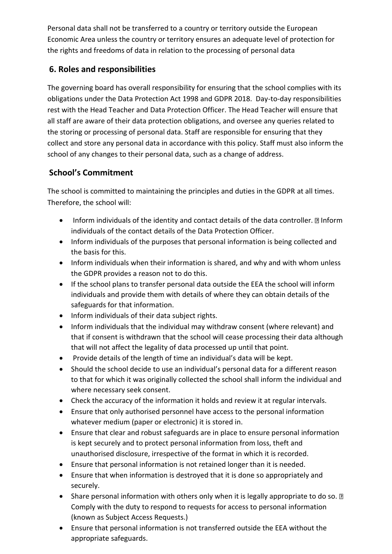Personal data shall not be transferred to a country or territory outside the European Economic Area unless the country or territory ensures an adequate level of protection for the rights and freedoms of data in relation to the processing of personal data

# **6. Roles and responsibilities**

The governing board has overall responsibility for ensuring that the school complies with its obligations under the Data Protection Act 1998 and GDPR 2018. Day-to-day responsibilities rest with the Head Teacher and Data Protection Officer. The Head Teacher will ensure that all staff are aware of their data protection obligations, and oversee any queries related to the storing or processing of personal data. Staff are responsible for ensuring that they collect and store any personal data in accordance with this policy. Staff must also inform the school of any changes to their personal data, such as a change of address.

# **School's Commitment**

The school is committed to maintaining the principles and duties in the GDPR at all times. Therefore, the school will:

- Inform individuals of the identity and contact details of the data controller. **Inform** individuals of the contact details of the Data Protection Officer.
- Inform individuals of the purposes that personal information is being collected and the basis for this.
- Inform individuals when their information is shared, and why and with whom unless the GDPR provides a reason not to do this.
- If the school plans to transfer personal data outside the EEA the school will inform individuals and provide them with details of where they can obtain details of the safeguards for that information.
- Inform individuals of their data subject rights.
- Inform individuals that the individual may withdraw consent (where relevant) and that if consent is withdrawn that the school will cease processing their data although that will not affect the legality of data processed up until that point.
- Provide details of the length of time an individual's data will be kept.
- Should the school decide to use an individual's personal data for a different reason to that for which it was originally collected the school shall inform the individual and where necessary seek consent.
- Check the accuracy of the information it holds and review it at regular intervals.
- Ensure that only authorised personnel have access to the personal information whatever medium (paper or electronic) it is stored in.
- Ensure that clear and robust safeguards are in place to ensure personal information is kept securely and to protect personal information from loss, theft and unauthorised disclosure, irrespective of the format in which it is recorded.
- Ensure that personal information is not retained longer than it is needed.
- Ensure that when information is destroyed that it is done so appropriately and securely.
- Share personal information with others only when it is legally appropriate to do so.  $\mathbb D$ Comply with the duty to respond to requests for access to personal information (known as Subject Access Requests.)
- Ensure that personal information is not transferred outside the EEA without the appropriate safeguards.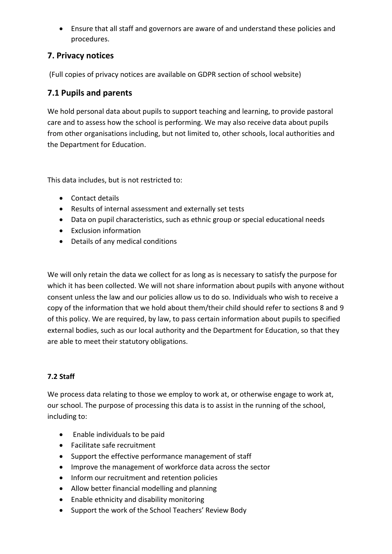Ensure that all staff and governors are aware of and understand these policies and procedures.

#### **7. Privacy notices**

(Full copies of privacy notices are available on GDPR section of school website)

#### **7.1 Pupils and parents**

We hold personal data about pupils to support teaching and learning, to provide pastoral care and to assess how the school is performing. We may also receive data about pupils from other organisations including, but not limited to, other schools, local authorities and the Department for Education.

This data includes, but is not restricted to:

- Contact details
- Results of internal assessment and externally set tests
- Data on pupil characteristics, such as ethnic group or special educational needs
- Exclusion information
- Details of any medical conditions

We will only retain the data we collect for as long as is necessary to satisfy the purpose for which it has been collected. We will not share information about pupils with anyone without consent unless the law and our policies allow us to do so. Individuals who wish to receive a copy of the information that we hold about them/their child should refer to sections 8 and 9 of this policy. We are required, by law, to pass certain information about pupils to specified external bodies, such as our local authority and the Department for Education, so that they are able to meet their statutory obligations.

#### **7.2 Staff**

We process data relating to those we employ to work at, or otherwise engage to work at, our school. The purpose of processing this data is to assist in the running of the school, including to:

- Enable individuals to be paid
- Facilitate safe recruitment
- Support the effective performance management of staff
- Improve the management of workforce data across the sector
- Inform our recruitment and retention policies
- Allow better financial modelling and planning
- Enable ethnicity and disability monitoring
- Support the work of the School Teachers' Review Body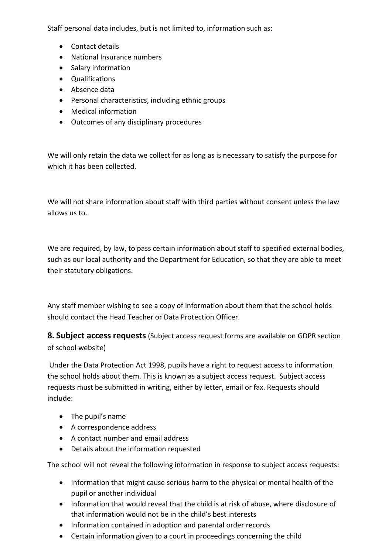Staff personal data includes, but is not limited to, information such as:

- Contact details
- National Insurance numbers
- Salary information
- Qualifications
- Absence data
- Personal characteristics, including ethnic groups
- Medical information
- Outcomes of any disciplinary procedures

We will only retain the data we collect for as long as is necessary to satisfy the purpose for which it has been collected.

We will not share information about staff with third parties without consent unless the law allows us to.

We are required, by law, to pass certain information about staff to specified external bodies, such as our local authority and the Department for Education, so that they are able to meet their statutory obligations.

Any staff member wishing to see a copy of information about them that the school holds should contact the Head Teacher or Data Protection Officer.

**8. Subject access requests**(Subject access request forms are available on GDPR section of school website)

Under the Data Protection Act 1998, pupils have a right to request access to information the school holds about them. This is known as a subject access request. Subject access requests must be submitted in writing, either by letter, email or fax. Requests should include:

- The pupil's name
- A correspondence address
- A contact number and email address
- Details about the information requested

The school will not reveal the following information in response to subject access requests:

- Information that might cause serious harm to the physical or mental health of the pupil or another individual
- Information that would reveal that the child is at risk of abuse, where disclosure of that information would not be in the child's best interests
- Information contained in adoption and parental order records
- Certain information given to a court in proceedings concerning the child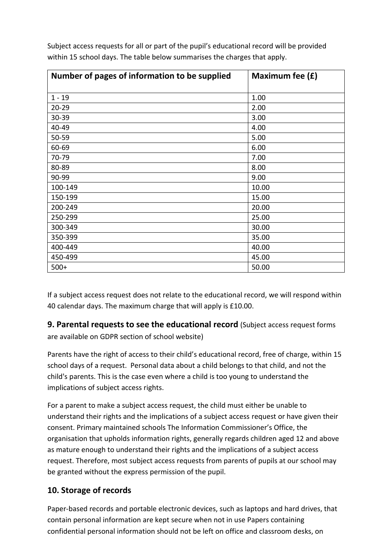| Number of pages of information to be supplied | Maximum fee (£) |
|-----------------------------------------------|-----------------|
| $1 - 19$                                      | 1.00            |
| $20 - 29$                                     | 2.00            |
| 30-39                                         | 3.00            |
| 40-49                                         | 4.00            |
| 50-59                                         | 5.00            |
| 60-69                                         | 6.00            |
| 70-79                                         | 7.00            |
| 80-89                                         | 8.00            |
| 90-99                                         | 9.00            |
| 100-149                                       | 10.00           |
| 150-199                                       | 15.00           |
| 200-249                                       | 20.00           |
| 250-299                                       | 25.00           |
| 300-349                                       | 30.00           |
| 350-399                                       | 35.00           |
| 400-449                                       | 40.00           |
| 450-499                                       | 45.00           |
| $500+$                                        | 50.00           |

Subject access requests for all or part of the pupil's educational record will be provided within 15 school days. The table below summarises the charges that apply.

If a subject access request does not relate to the educational record, we will respond within 40 calendar days. The maximum charge that will apply is £10.00.

**9. Parental requests to see the educational record** (Subject access request forms are available on GDPR section of school website)

Parents have the right of access to their child's educational record, free of charge, within 15 school days of a request. Personal data about a child belongs to that child, and not the child's parents. This is the case even where a child is too young to understand the implications of subject access rights.

For a parent to make a subject access request, the child must either be unable to understand their rights and the implications of a subject access request or have given their consent. Primary maintained schools The Information Commissioner's Office, the organisation that upholds information rights, generally regards children aged 12 and above as mature enough to understand their rights and the implications of a subject access request. Therefore, most subject access requests from parents of pupils at our school may be granted without the express permission of the pupil.

## **10. Storage of records**

Paper-based records and portable electronic devices, such as laptops and hard drives, that contain personal information are kept secure when not in use Papers containing confidential personal information should not be left on office and classroom desks, on